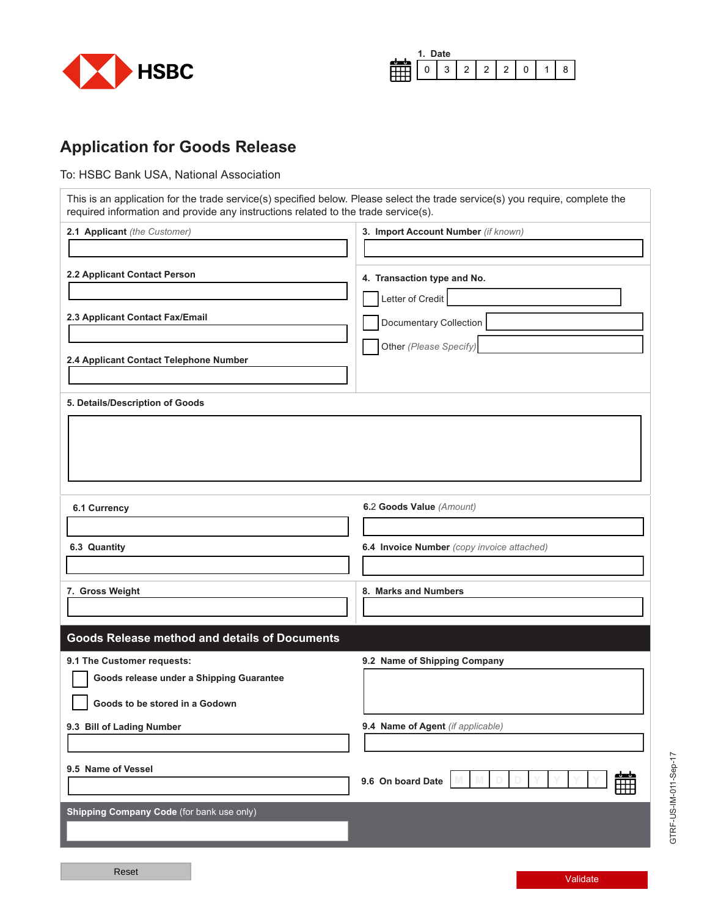

| е<br>., |   |   |  |  |  |  |  |  |
|---------|---|---|--|--|--|--|--|--|
| v       | ັ | - |  |  |  |  |  |  |

## **Application for Goods Release**

To: HSBC Bank USA, National Association

This is an application for the trade service(s) specified below. Please select the trade service(s) you require, complete the required information and provide any instructions related to the trade service(s).

| 2.1 Applicant (the Customer)                                           | 3. Import Account Number (if known)        |
|------------------------------------------------------------------------|--------------------------------------------|
|                                                                        |                                            |
| 2.2 Applicant Contact Person                                           | 4. Transaction type and No.                |
|                                                                        | Letter of Credit                           |
| 2.3 Applicant Contact Fax/Email                                        | Documentary Collection                     |
|                                                                        | Other (Please Specify)                     |
| 2.4 Applicant Contact Telephone Number                                 |                                            |
| 5. Details/Description of Goods                                        |                                            |
|                                                                        |                                            |
|                                                                        |                                            |
|                                                                        |                                            |
|                                                                        |                                            |
| 6.1 Currency                                                           | 6.2 Goods Value (Amount)                   |
|                                                                        |                                            |
| 6.3 Quantity                                                           | 6.4 Invoice Number (copy invoice attached) |
|                                                                        | 8. Marks and Numbers                       |
| 7. Gross Weight                                                        |                                            |
| <b>Goods Release method and details of Documents</b>                   |                                            |
|                                                                        | 9.2 Name of Shipping Company               |
| 9.1 The Customer requests:<br>Goods release under a Shipping Guarantee |                                            |
| Goods to be stored in a Godown                                         |                                            |
| 9.3 Bill of Lading Number                                              | 9.4 Name of Agent (if applicable)          |
|                                                                        |                                            |
| 9.5 Name of Vessel                                                     |                                            |
|                                                                        | 簂<br>9.6 On board Date                     |
| Shipping Company Code (for bank use only)                              |                                            |
|                                                                        |                                            |